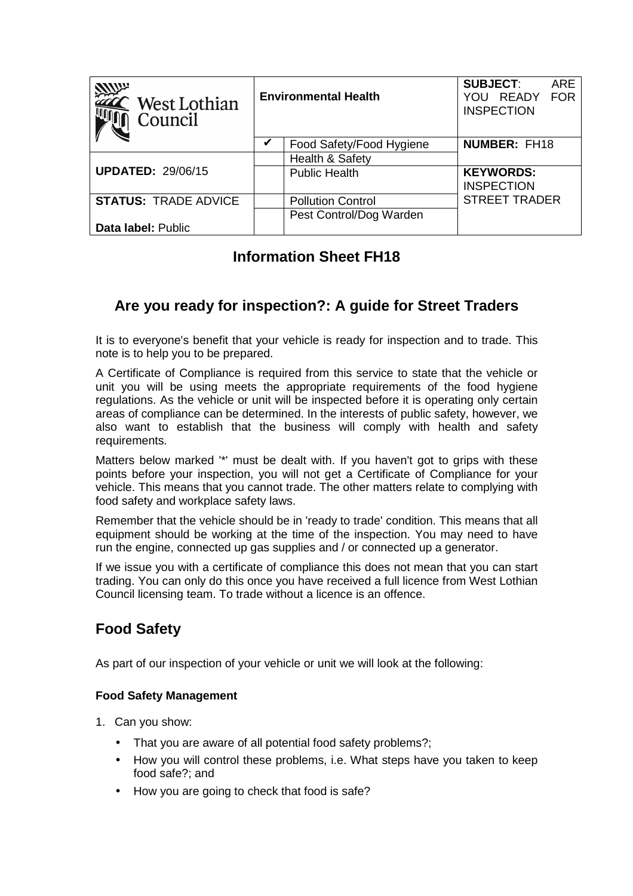| $\hat{\phantom{a}}$ West Lothian<br>Council | <b>Environmental Health</b> |                          | <b>SUBJECT:</b><br>YOU READY<br><b>INSPECTION</b> | <b>ARE</b><br><b>FOR</b> |
|---------------------------------------------|-----------------------------|--------------------------|---------------------------------------------------|--------------------------|
|                                             |                             | Food Safety/Food Hygiene | <b>NUMBER: FH18</b>                               |                          |
|                                             |                             | Health & Safety          |                                                   |                          |
| <b>UPDATED: 29/06/15</b>                    |                             | <b>Public Health</b>     | <b>KEYWORDS:</b><br><b>INSPECTION</b>             |                          |
| <b>STATUS: TRADE ADVICE</b>                 |                             | <b>Pollution Control</b> | <b>STREET TRADER</b>                              |                          |
|                                             |                             | Pest Control/Dog Warden  |                                                   |                          |
| Data label: Public                          |                             |                          |                                                   |                          |

# **Information Sheet FH18**

## **Are you ready for inspection?: A guide for Street Traders**

It is to everyone's benefit that your vehicle is ready for inspection and to trade. This note is to help you to be prepared.

A Certificate of Compliance is required from this service to state that the vehicle or unit you will be using meets the appropriate requirements of the food hygiene regulations. As the vehicle or unit will be inspected before it is operating only certain areas of compliance can be determined. In the interests of public safety, however, we also want to establish that the business will comply with health and safety requirements.

Matters below marked '\*' must be dealt with. If you haven't got to grips with these points before your inspection, you will not get a Certificate of Compliance for your vehicle. This means that you cannot trade. The other matters relate to complying with food safety and workplace safety laws.

Remember that the vehicle should be in 'ready to trade' condition. This means that all equipment should be working at the time of the inspection. You may need to have run the engine, connected up gas supplies and / or connected up a generator.

If we issue you with a certificate of compliance this does not mean that you can start trading. You can only do this once you have received a full licence from West Lothian Council licensing team. To trade without a licence is an offence.

## **Food Safety**

As part of our inspection of your vehicle or unit we will look at the following:

## **Food Safety Management**

- 1. Can you show:
	- That you are aware of all potential food safety problems?;
	- How you will control these problems, i.e. What steps have you taken to keep food safe?; and
	- How you are going to check that food is safe?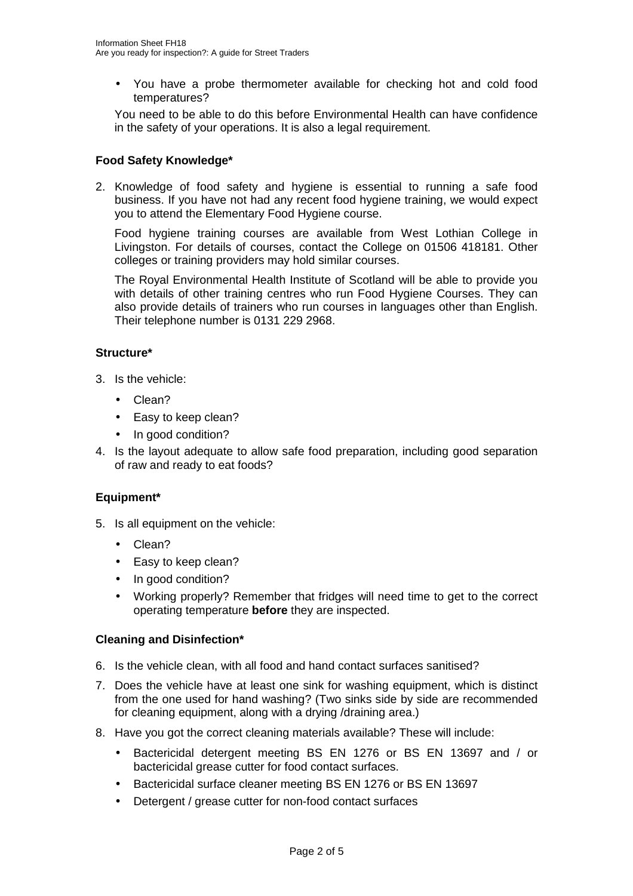• You have a probe thermometer available for checking hot and cold food temperatures?

You need to be able to do this before Environmental Health can have confidence in the safety of your operations. It is also a legal requirement.

## **Food Safety Knowledge\***

2. Knowledge of food safety and hygiene is essential to running a safe food business. If you have not had any recent food hygiene training, we would expect you to attend the Elementary Food Hygiene course.

Food hygiene training courses are available from West Lothian College in Livingston. For details of courses, contact the College on 01506 418181. Other colleges or training providers may hold similar courses.

The Royal Environmental Health Institute of Scotland will be able to provide you with details of other training centres who run Food Hygiene Courses. They can also provide details of trainers who run courses in languages other than English. Their telephone number is 0131 229 2968.

## **Structure\***

- 3. Is the vehicle:
	- Clean?
	- Easy to keep clean?
	- In good condition?
- 4. Is the layout adequate to allow safe food preparation, including good separation of raw and ready to eat foods?

## **Equipment\***

- 5. Is all equipment on the vehicle:
	- Clean?
	- Easy to keep clean?
	- In good condition?
	- Working properly? Remember that fridges will need time to get to the correct operating temperature **before** they are inspected.

## **Cleaning and Disinfection\***

- 6. Is the vehicle clean, with all food and hand contact surfaces sanitised?
- 7. Does the vehicle have at least one sink for washing equipment, which is distinct from the one used for hand washing? (Two sinks side by side are recommended for cleaning equipment, along with a drying /draining area.)
- 8. Have you got the correct cleaning materials available? These will include:
	- Bactericidal detergent meeting BS EN 1276 or BS EN 13697 and / or bactericidal grease cutter for food contact surfaces.
	- Bactericidal surface cleaner meeting BS EN 1276 or BS EN 13697
	- Detergent / grease cutter for non-food contact surfaces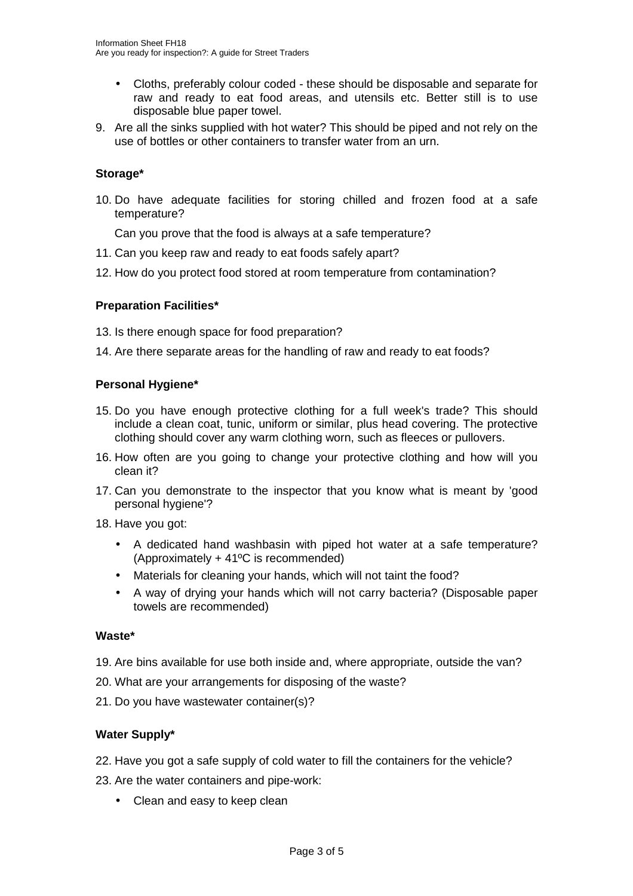- Cloths, preferably colour coded these should be disposable and separate for raw and ready to eat food areas, and utensils etc. Better still is to use disposable blue paper towel.
- 9. Are all the sinks supplied with hot water? This should be piped and not rely on the use of bottles or other containers to transfer water from an urn.

#### **Storage\***

10. Do have adequate facilities for storing chilled and frozen food at a safe temperature?

Can you prove that the food is always at a safe temperature?

- 11. Can you keep raw and ready to eat foods safely apart?
- 12. How do you protect food stored at room temperature from contamination?

#### **Preparation Facilities\***

13. Is there enough space for food preparation?

14. Are there separate areas for the handling of raw and ready to eat foods?

#### **Personal Hygiene\***

- 15. Do you have enough protective clothing for a full week's trade? This should include a clean coat, tunic, uniform or similar, plus head covering. The protective clothing should cover any warm clothing worn, such as fleeces or pullovers.
- 16. How often are you going to change your protective clothing and how will you clean it?
- 17. Can you demonstrate to the inspector that you know what is meant by 'good personal hygiene'?

18. Have you got:

- A dedicated hand washbasin with piped hot water at a safe temperature? (Approximately + 41ºC is recommended)
- Materials for cleaning your hands, which will not taint the food?
- A way of drying your hands which will not carry bacteria? (Disposable paper towels are recommended)

#### **Waste\***

- 19. Are bins available for use both inside and, where appropriate, outside the van?
- 20. What are your arrangements for disposing of the waste?
- 21. Do you have wastewater container(s)?

## **Water Supply\***

- 22. Have you got a safe supply of cold water to fill the containers for the vehicle?
- 23. Are the water containers and pipe-work:
	- Clean and easy to keep clean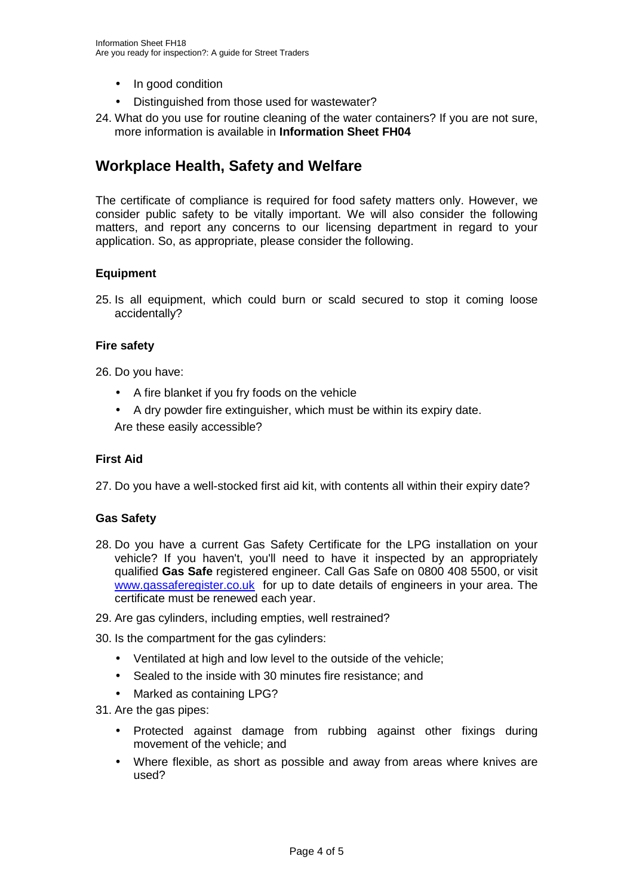- In good condition
- Distinguished from those used for wastewater?
- 24. What do you use for routine cleaning of the water containers? If you are not sure, more information is available in **Information Sheet FH04**

## **Workplace Health, Safety and Welfare**

The certificate of compliance is required for food safety matters only. However, we consider public safety to be vitally important. We will also consider the following matters, and report any concerns to our licensing department in regard to your application. So, as appropriate, please consider the following.

## **Equipment**

25. Is all equipment, which could burn or scald secured to stop it coming loose accidentally?

## **Fire safety**

26. Do you have:

- A fire blanket if you fry foods on the vehicle
- A dry powder fire extinguisher, which must be within its expiry date.

Are these easily accessible?

## **First Aid**

27. Do you have a well-stocked first aid kit, with contents all within their expiry date?

## **Gas Safety**

- 28. Do you have a current Gas Safety Certificate for the LPG installation on your vehicle? If you haven't, you'll need to have it inspected by an appropriately qualified **Gas Safe** registered engineer. Call Gas Safe on 0800 408 5500, or visit www.gassaferegister.co.uk for up to date details of engineers in your area. The certificate must be renewed each year.
- 29. Are gas cylinders, including empties, well restrained?

30. Is the compartment for the gas cylinders:

- Ventilated at high and low level to the outside of the vehicle:
- Sealed to the inside with 30 minutes fire resistance; and
- Marked as containing LPG?
- 31. Are the gas pipes:
	- Protected against damage from rubbing against other fixings during movement of the vehicle; and
	- Where flexible, as short as possible and away from areas where knives are used?